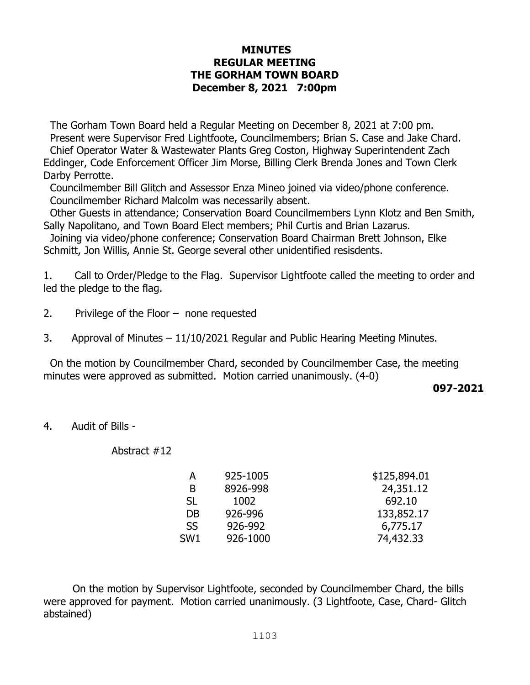## **MINUTES REGULAR MEETING THE GORHAM TOWN BOARD December 8, 2021 7:00pm**

The Gorham Town Board held a Regular Meeting on December 8, 2021 at 7:00 pm. Present were Supervisor Fred Lightfoote, Councilmembers; Brian S. Case and Jake Chard. Chief Operator Water & Wastewater Plants Greg Coston, Highway Superintendent Zach Eddinger, Code Enforcement Officer Jim Morse, Billing Clerk Brenda Jones and Town Clerk Darby Perrotte.

Councilmember Bill Glitch and Assessor Enza Mineo joined via video/phone conference. Councilmember Richard Malcolm was necessarily absent.

 Other Guests in attendance; Conservation Board Councilmembers Lynn Klotz and Ben Smith, Sally Napolitano, and Town Board Elect members; Phil Curtis and Brian Lazarus.

 Joining via video/phone conference; Conservation Board Chairman Brett Johnson, Elke Schmitt, Jon Willis, Annie St. George several other unidentified resisdents.

1. Call to Order/Pledge to the Flag. Supervisor Lightfoote called the meeting to order and led the pledge to the flag.

- 2. Privilege of the Floor none requested
- 3. Approval of Minutes 11/10/2021 Regular and Public Hearing Meeting Minutes.

 On the motion by Councilmember Chard, seconded by Councilmember Case, the meeting minutes were approved as submitted. Motion carried unanimously. (4-0)

**097-2021**

## 4. Audit of Bills -

Abstract #12

| 925-1005 | \$125,894.01 |
|----------|--------------|
| 8926-998 | 24,351.12    |
| 1002     | 692.10       |
| 926-996  | 133,852.17   |
| 926-992  | 6,775.17     |
| 926-1000 | 74,432.33    |
|          |              |

 On the motion by Supervisor Lightfoote, seconded by Councilmember Chard, the bills were approved for payment. Motion carried unanimously. (3 Lightfoote, Case, Chard- Glitch abstained)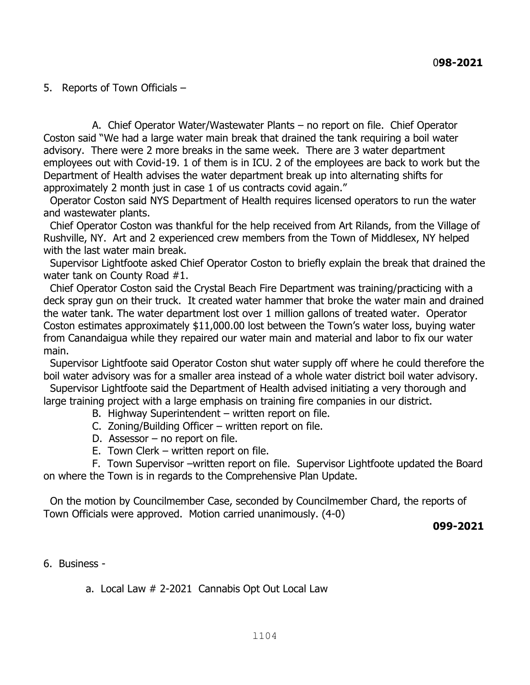5. Reports of Town Officials –

 A. Chief Operator Water/Wastewater Plants – no report on file. Chief Operator Coston said "We had a large water main break that drained the tank requiring a boil water advisory. There were 2 more breaks in the same week. There are 3 water department employees out with Covid-19. 1 of them is in ICU. 2 of the employees are back to work but the Department of Health advises the water department break up into alternating shifts for approximately 2 month just in case 1 of us contracts covid again."

 Operator Coston said NYS Department of Health requires licensed operators to run the water and wastewater plants.

 Chief Operator Coston was thankful for the help received from Art Rilands, from the Village of Rushville, NY. Art and 2 experienced crew members from the Town of Middlesex, NY helped with the last water main break.

 Supervisor Lightfoote asked Chief Operator Coston to briefly explain the break that drained the water tank on County Road #1.

 Chief Operator Coston said the Crystal Beach Fire Department was training/practicing with a deck spray gun on their truck. It created water hammer that broke the water main and drained the water tank. The water department lost over 1 million gallons of treated water. Operator Coston estimates approximately \$11,000.00 lost between the Town's water loss, buying water from Canandaigua while they repaired our water main and material and labor to fix our water main.

 Supervisor Lightfoote said Operator Coston shut water supply off where he could therefore the boil water advisory was for a smaller area instead of a whole water district boil water advisory.

 Supervisor Lightfoote said the Department of Health advised initiating a very thorough and large training project with a large emphasis on training fire companies in our district.

- B. Highway Superintendent written report on file.
- C. Zoning/Building Officer written report on file.
- D. Assessor no report on file.
- E. Town Clerk written report on file.

 F. Town Supervisor –written report on file. Supervisor Lightfoote updated the Board on where the Town is in regards to the Comprehensive Plan Update.

 On the motion by Councilmember Case, seconded by Councilmember Chard, the reports of Town Officials were approved. Motion carried unanimously. (4-0)

**099-2021** 

6. Business -

a. Local Law # 2-2021 Cannabis Opt Out Local Law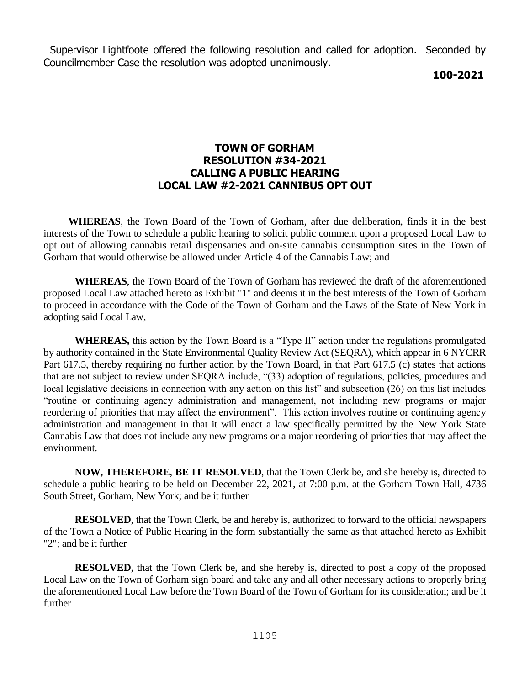Supervisor Lightfoote offered the following resolution and called for adoption. Seconded by Councilmember Case the resolution was adopted unanimously.

 **100-2021**

## **TOWN OF GORHAM RESOLUTION #34-2021 CALLING A PUBLIC HEARING LOCAL LAW #2-2021 CANNIBUS OPT OUT**

 **WHEREAS**, the Town Board of the Town of Gorham, after due deliberation, finds it in the best interests of the Town to schedule a public hearing to solicit public comment upon a proposed Local Law to opt out of allowing cannabis retail dispensaries and on-site cannabis consumption sites in the Town of Gorham that would otherwise be allowed under Article 4 of the Cannabis Law; and

**WHEREAS**, the Town Board of the Town of Gorham has reviewed the draft of the aforementioned proposed Local Law attached hereto as Exhibit "1" and deems it in the best interests of the Town of Gorham to proceed in accordance with the Code of the Town of Gorham and the Laws of the State of New York in adopting said Local Law,

**WHEREAS,** this action by the Town Board is a "Type II" action under the regulations promulgated by authority contained in the State Environmental Quality Review Act (SEQRA), which appear in 6 NYCRR Part 617.5, thereby requiring no further action by the Town Board, in that Part 617.5 (c) states that actions that are not subject to review under SEQRA include, "(33) adoption of regulations, policies, procedures and local legislative decisions in connection with any action on this list" and subsection (26) on this list includes "routine or continuing agency administration and management, not including new programs or major reordering of priorities that may affect the environment". This action involves routine or continuing agency administration and management in that it will enact a law specifically permitted by the New York State Cannabis Law that does not include any new programs or a major reordering of priorities that may affect the environment.

**NOW, THEREFORE**, **BE IT RESOLVED**, that the Town Clerk be, and she hereby is, directed to schedule a public hearing to be held on December 22, 2021, at 7:00 p.m. at the Gorham Town Hall, 4736 South Street, Gorham, New York; and be it further

**RESOLVED**, that the Town Clerk, be and hereby is, authorized to forward to the official newspapers of the Town a Notice of Public Hearing in the form substantially the same as that attached hereto as Exhibit "2"; and be it further

**RESOLVED**, that the Town Clerk be, and she hereby is, directed to post a copy of the proposed Local Law on the Town of Gorham sign board and take any and all other necessary actions to properly bring the aforementioned Local Law before the Town Board of the Town of Gorham for its consideration; and be it further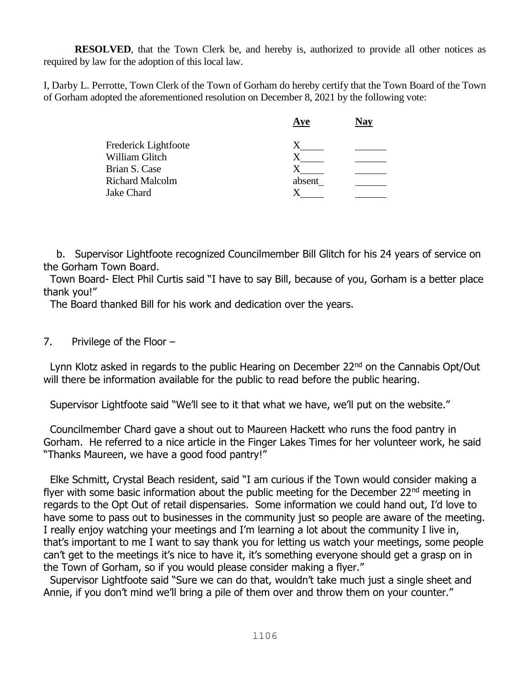**RESOLVED**, that the Town Clerk be, and hereby is, authorized to provide all other notices as required by law for the adoption of this local law.

I, Darby L. Perrotte, Town Clerk of the Town of Gorham do hereby certify that the Town Board of the Town of Gorham adopted the aforementioned resolution on December 8, 2021 by the following vote:

|                        | Aye    | Nay |
|------------------------|--------|-----|
| Frederick Lightfoote   |        |     |
| William Glitch         |        |     |
| Brian S. Case          |        |     |
| <b>Richard Malcolm</b> | absent |     |
| Jake Chard             |        |     |
|                        |        |     |

 b. Supervisor Lightfoote recognized Councilmember Bill Glitch for his 24 years of service on the Gorham Town Board.

 Town Board- Elect Phil Curtis said "I have to say Bill, because of you, Gorham is a better place thank you!"

The Board thanked Bill for his work and dedication over the years.

7. Privilege of the Floor –

Lynn Klotz asked in regards to the public Hearing on December 22<sup>nd</sup> on the Cannabis Opt/Out will there be information available for the public to read before the public hearing.

Supervisor Lightfoote said "We'll see to it that what we have, we'll put on the website."

 Councilmember Chard gave a shout out to Maureen Hackett who runs the food pantry in Gorham. He referred to a nice article in the Finger Lakes Times for her volunteer work, he said "Thanks Maureen, we have a good food pantry!"

 Elke Schmitt, Crystal Beach resident, said "I am curious if the Town would consider making a flyer with some basic information about the public meeting for the December 22 $^{nd}$  meeting in regards to the Opt Out of retail dispensaries. Some information we could hand out, I'd love to have some to pass out to businesses in the community just so people are aware of the meeting. I really enjoy watching your meetings and I'm learning a lot about the community I live in, that's important to me I want to say thank you for letting us watch your meetings, some people can't get to the meetings it's nice to have it, it's something everyone should get a grasp on in the Town of Gorham, so if you would please consider making a flyer."

 Supervisor Lightfoote said "Sure we can do that, wouldn't take much just a single sheet and Annie, if you don't mind we'll bring a pile of them over and throw them on your counter."